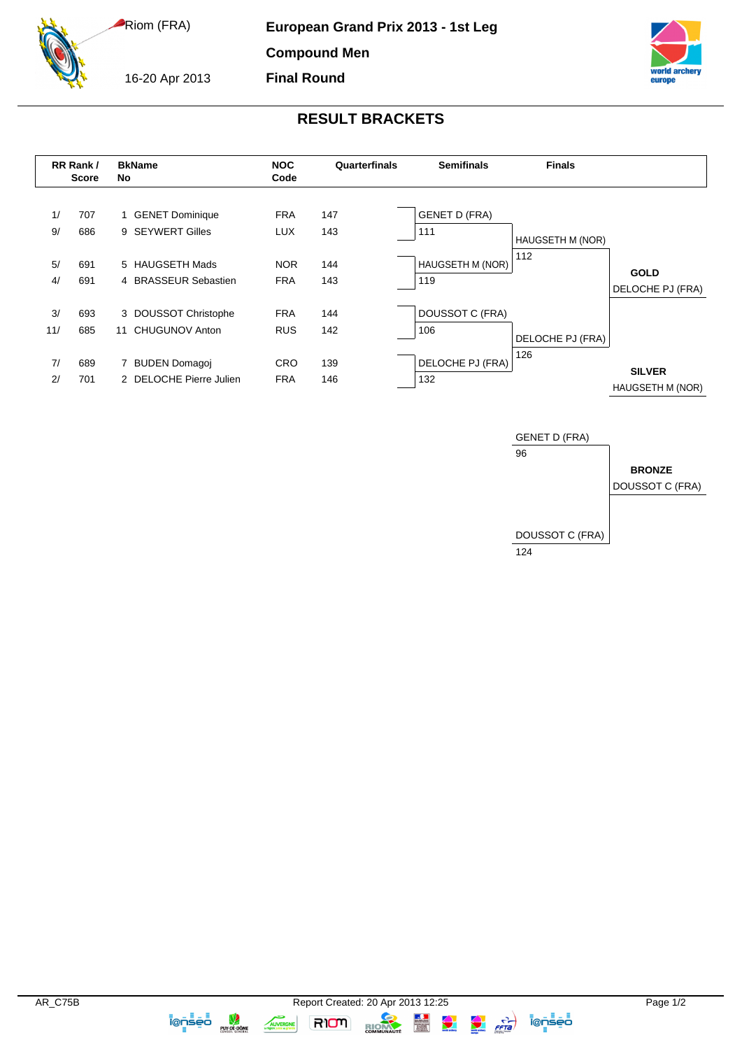Riom (FRA)

**European Grand Prix 2013 - 1st Leg**

**Compound Men Final Round**

16-20 Apr 2013

## **RESULT BRACKETS**





**IQOSED** 

AUVERGNE

**RIOM** 

RION

 $\frac{1}{\sqrt{2}}$